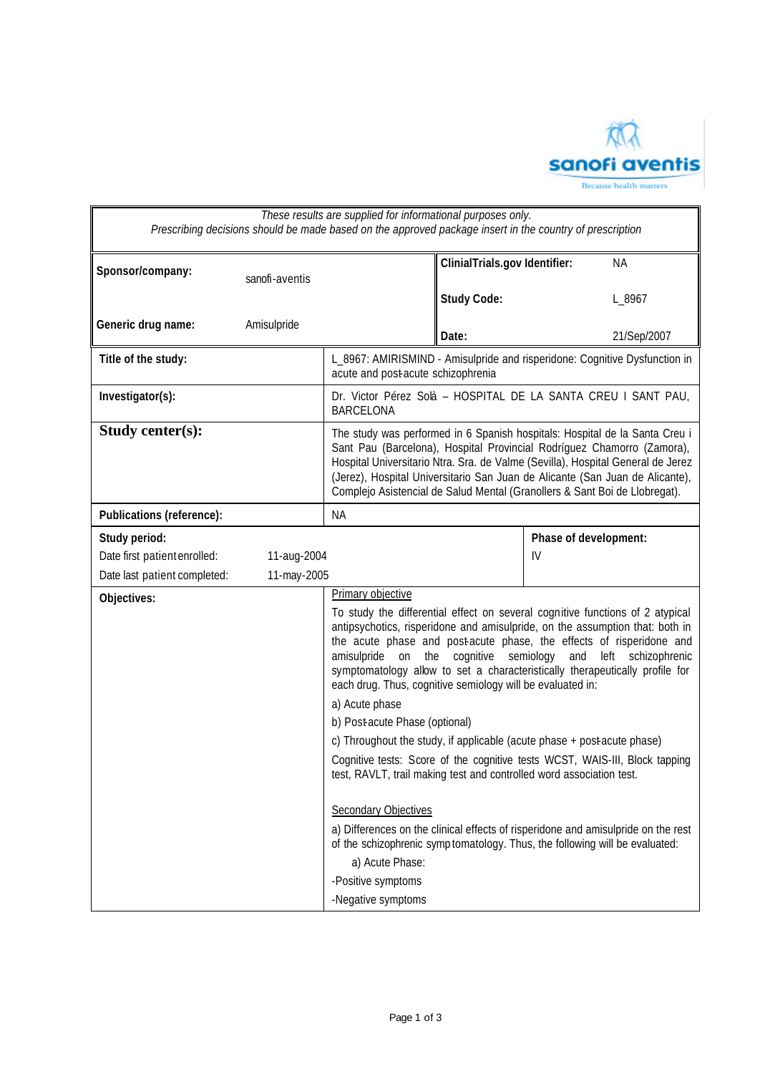

| Sponsor/company:<br>sanofi-aventis<br>Generic drug name:<br>Amisulpride<br>Title of the study:<br>Investigator(s):<br>Study center(s):<br>Publications (reference):<br>Study period:<br>Date first patient enrolled:<br>11-aug-2004<br>Date last patient completed: | ClinialTrials.gov Identifier:<br><b>Study Code:</b>                                                                                                                                                                                                                                                                                                                                                    | <b>NA</b>                                                                                                                                                                                                                                                                                                                                                                                                                                             |  |  |
|---------------------------------------------------------------------------------------------------------------------------------------------------------------------------------------------------------------------------------------------------------------------|--------------------------------------------------------------------------------------------------------------------------------------------------------------------------------------------------------------------------------------------------------------------------------------------------------------------------------------------------------------------------------------------------------|-------------------------------------------------------------------------------------------------------------------------------------------------------------------------------------------------------------------------------------------------------------------------------------------------------------------------------------------------------------------------------------------------------------------------------------------------------|--|--|
|                                                                                                                                                                                                                                                                     |                                                                                                                                                                                                                                                                                                                                                                                                        |                                                                                                                                                                                                                                                                                                                                                                                                                                                       |  |  |
|                                                                                                                                                                                                                                                                     |                                                                                                                                                                                                                                                                                                                                                                                                        | L_8967                                                                                                                                                                                                                                                                                                                                                                                                                                                |  |  |
|                                                                                                                                                                                                                                                                     | Date:                                                                                                                                                                                                                                                                                                                                                                                                  | 21/Sep/2007                                                                                                                                                                                                                                                                                                                                                                                                                                           |  |  |
|                                                                                                                                                                                                                                                                     | acute and post-acute schizophrenia                                                                                                                                                                                                                                                                                                                                                                     | L_8967: AMIRISMIND - Amisulpride and risperidone: Cognitive Dysfunction in                                                                                                                                                                                                                                                                                                                                                                            |  |  |
|                                                                                                                                                                                                                                                                     | <b>BARCELONA</b>                                                                                                                                                                                                                                                                                                                                                                                       | Dr. Victor Pérez Solà - HOSPITAL DE LA SANTA CREU I SANT PAU,                                                                                                                                                                                                                                                                                                                                                                                         |  |  |
|                                                                                                                                                                                                                                                                     | The study was performed in 6 Spanish hospitals: Hospital de la Santa Creu i<br>Sant Pau (Barcelona), Hospital Provincial Rodríguez Chamorro (Zamora),<br>Hospital Universitario Ntra. Sra. de Valme (Sevilla), Hospital General de Jerez<br>(Jerez), Hospital Universitario San Juan de Alicante (San Juan de Alicante),<br>Complejo Asistencial de Salud Mental (Granollers & Sant Boi de Llobregat). |                                                                                                                                                                                                                                                                                                                                                                                                                                                       |  |  |
|                                                                                                                                                                                                                                                                     | <b>NA</b>                                                                                                                                                                                                                                                                                                                                                                                              |                                                                                                                                                                                                                                                                                                                                                                                                                                                       |  |  |
|                                                                                                                                                                                                                                                                     |                                                                                                                                                                                                                                                                                                                                                                                                        | Phase of development:<br>IV                                                                                                                                                                                                                                                                                                                                                                                                                           |  |  |
|                                                                                                                                                                                                                                                                     | 11-may-2005                                                                                                                                                                                                                                                                                                                                                                                            |                                                                                                                                                                                                                                                                                                                                                                                                                                                       |  |  |
| Objectives:                                                                                                                                                                                                                                                         | cognitive<br>amisulpride<br>on the                                                                                                                                                                                                                                                                                                                                                                     | Primary objective<br>To study the differential effect on several cognitive functions of 2 atypical<br>antipsychotics, risperidone and amisulpride, on the assumption that: both in<br>the acute phase and post-acute phase, the effects of risperidone and<br>semiology<br>and<br>left<br>schizophrenic<br>symptomatology allow to set a characteristically therapeutically profile for<br>each drug. Thus, cognitive semiology will be evaluated in: |  |  |
|                                                                                                                                                                                                                                                                     | a) Acute phase                                                                                                                                                                                                                                                                                                                                                                                         |                                                                                                                                                                                                                                                                                                                                                                                                                                                       |  |  |
|                                                                                                                                                                                                                                                                     | b) Post-acute Phase (optional)                                                                                                                                                                                                                                                                                                                                                                         |                                                                                                                                                                                                                                                                                                                                                                                                                                                       |  |  |
|                                                                                                                                                                                                                                                                     |                                                                                                                                                                                                                                                                                                                                                                                                        | c) Throughout the study, if applicable (acute phase + post acute phase)                                                                                                                                                                                                                                                                                                                                                                               |  |  |
|                                                                                                                                                                                                                                                                     |                                                                                                                                                                                                                                                                                                                                                                                                        | Cognitive tests: Score of the cognitive tests WCST, WAIS-III, Block tapping<br>test, RAVLT, trail making test and controlled word association test.                                                                                                                                                                                                                                                                                                   |  |  |
|                                                                                                                                                                                                                                                                     | <b>Secondary Objectives</b>                                                                                                                                                                                                                                                                                                                                                                            |                                                                                                                                                                                                                                                                                                                                                                                                                                                       |  |  |
|                                                                                                                                                                                                                                                                     |                                                                                                                                                                                                                                                                                                                                                                                                        | a) Differences on the clinical effects of risperidone and amisulpride on the rest<br>of the schizophrenic symp tomatology. Thus, the following will be evaluated:                                                                                                                                                                                                                                                                                     |  |  |
|                                                                                                                                                                                                                                                                     | a) Acute Phase:                                                                                                                                                                                                                                                                                                                                                                                        |                                                                                                                                                                                                                                                                                                                                                                                                                                                       |  |  |
|                                                                                                                                                                                                                                                                     | -Positive symptoms                                                                                                                                                                                                                                                                                                                                                                                     |                                                                                                                                                                                                                                                                                                                                                                                                                                                       |  |  |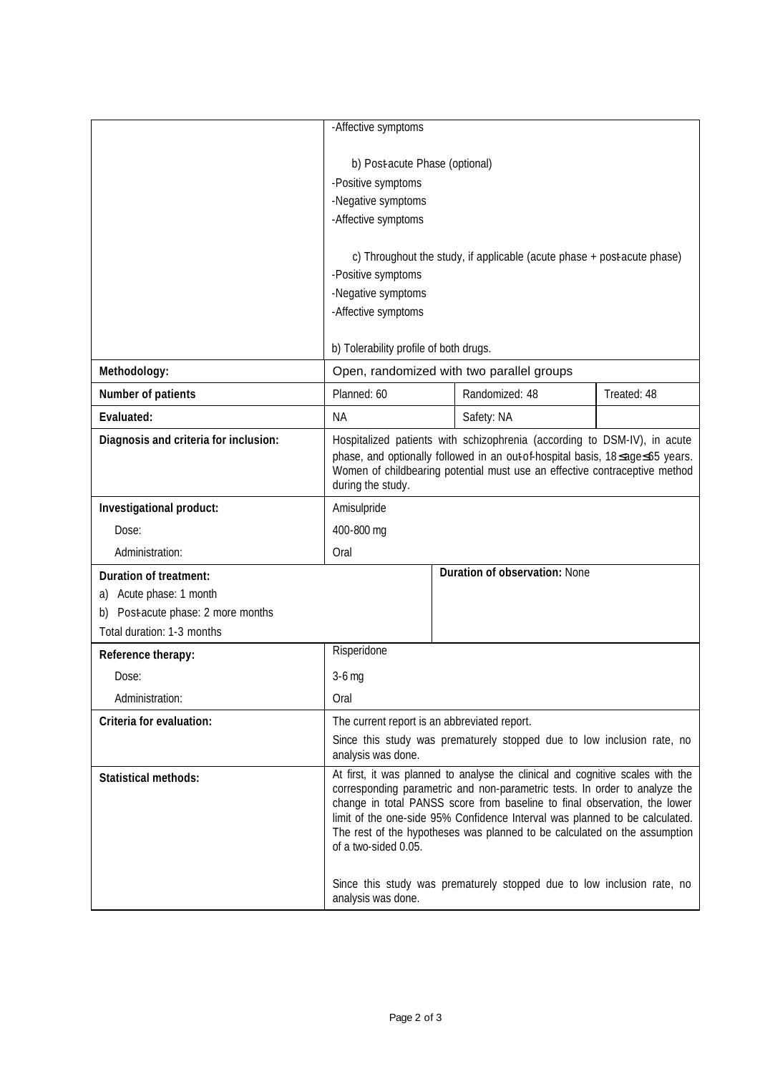|                                                                                                                       | -Affective symptoms                                                                                                                                                                                                                                                                                                                                                                                                                                                                                     |  |                               |             |
|-----------------------------------------------------------------------------------------------------------------------|---------------------------------------------------------------------------------------------------------------------------------------------------------------------------------------------------------------------------------------------------------------------------------------------------------------------------------------------------------------------------------------------------------------------------------------------------------------------------------------------------------|--|-------------------------------|-------------|
|                                                                                                                       | b) Post-acute Phase (optional)<br>-Positive symptoms<br>-Negative symptoms<br>-Affective symptoms                                                                                                                                                                                                                                                                                                                                                                                                       |  |                               |             |
|                                                                                                                       | c) Throughout the study, if applicable (acute phase + post acute phase)<br>-Positive symptoms<br>-Negative symptoms<br>-Affective symptoms                                                                                                                                                                                                                                                                                                                                                              |  |                               |             |
|                                                                                                                       | b) Tolerability profile of both drugs.                                                                                                                                                                                                                                                                                                                                                                                                                                                                  |  |                               |             |
| Methodology:                                                                                                          | Open, randomized with two parallel groups                                                                                                                                                                                                                                                                                                                                                                                                                                                               |  |                               |             |
| Number of patients                                                                                                    | Planned: 60                                                                                                                                                                                                                                                                                                                                                                                                                                                                                             |  | Randomized: 48                | Treated: 48 |
| Evaluated:                                                                                                            | <b>NA</b>                                                                                                                                                                                                                                                                                                                                                                                                                                                                                               |  | Safety: NA                    |             |
| Diagnosis and criteria for inclusion:                                                                                 | Hospitalized patients with schizophrenia (according to DSM-IV), in acute<br>phase, and optionally followed in an out-of-hospital basis, 18≤age≤65 years.<br>Women of childbearing potential must use an effective contraceptive method<br>during the study.                                                                                                                                                                                                                                             |  |                               |             |
| Investigational product:                                                                                              | Amisulpride                                                                                                                                                                                                                                                                                                                                                                                                                                                                                             |  |                               |             |
| Dose:                                                                                                                 | 400-800 mg                                                                                                                                                                                                                                                                                                                                                                                                                                                                                              |  |                               |             |
| Administration:                                                                                                       | Oral                                                                                                                                                                                                                                                                                                                                                                                                                                                                                                    |  |                               |             |
| Duration of treatment:<br>Acute phase: 1 month<br>a)<br>Post-acute phase: 2 more months<br>Total duration: 1-3 months |                                                                                                                                                                                                                                                                                                                                                                                                                                                                                                         |  | Duration of observation: None |             |
| Reference therapy:                                                                                                    | Risperidone                                                                                                                                                                                                                                                                                                                                                                                                                                                                                             |  |                               |             |
| Dose:                                                                                                                 | $3-6$ mg                                                                                                                                                                                                                                                                                                                                                                                                                                                                                                |  |                               |             |
| Administration:                                                                                                       | Oral                                                                                                                                                                                                                                                                                                                                                                                                                                                                                                    |  |                               |             |
| Criteria for evaluation:                                                                                              | The current report is an abbreviated report.<br>Since this study was prematurely stopped due to low inclusion rate, no<br>analysis was done.                                                                                                                                                                                                                                                                                                                                                            |  |                               |             |
| <b>Statistical methods:</b>                                                                                           | At first, it was planned to analyse the clinical and cognitive scales with the<br>corresponding parametric and non-parametric tests. In order to analyze the<br>change in total PANSS score from baseline to final observation, the lower<br>limit of the one-side 95% Confidence Interval was planned to be calculated.<br>The rest of the hypotheses was planned to be calculated on the assumption<br>of a two-sided 0.05.<br>Since this study was prematurely stopped due to low inclusion rate, no |  |                               |             |
|                                                                                                                       | analysis was done.                                                                                                                                                                                                                                                                                                                                                                                                                                                                                      |  |                               |             |